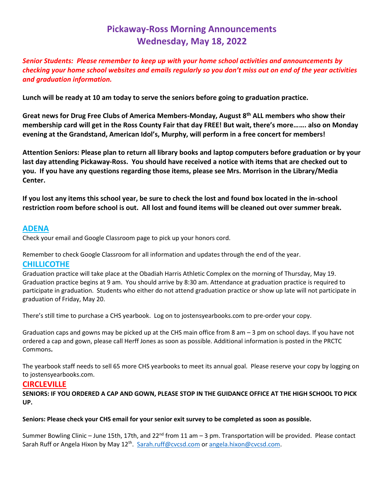# **Pickaway-Ross Morning Announcements Wednesday, May 18, 2022**

*Senior Students: Please remember to keep up with your home school activities and announcements by checking your home school websites and emails regularly so you don't miss out on end of the year activities and graduation information.* 

**Lunch will be ready at 10 am today to serve the seniors before going to graduation practice.**

**Great news for Drug Free Clubs of America Members-Monday, August 8th ALL members who show their membership card will get in the Ross County Fair that day FREE! But wait, there's more……. also on Monday evening at the Grandstand, American Idol's, Murphy, will perform in a free concert for members!**

**Attention Seniors: Please plan to return all library books and laptop computers before graduation or by your last day attending Pickaway-Ross. You should have received a notice with items that are checked out to you. If you have any questions regarding those items, please see Mrs. Morrison in the Library/Media Center.** 

**If you lost any items this school year, be sure to check the lost and found box located in the in-school restriction room before school is out. All lost and found items will be cleaned out over summer break.**

# **ADENA**

Check your email and Google Classroom page to pick up your honors cord.

Remember to check Google Classroom for all information and updates through the end of the year.

# **CHILLICOTHE**

Graduation practice will take place at the Obadiah Harris Athletic Complex on the morning of Thursday, May 19. Graduation practice begins at 9 am. You should arrive by 8:30 am. Attendance at graduation practice is required to participate in graduation. Students who either do not attend graduation practice or show up late will not participate in graduation of Friday, May 20.

There's still time to purchase a CHS yearbook. Log on to jostensyearbooks.com to pre-order your copy.

Graduation caps and gowns may be picked up at the CHS main office from 8 am – 3 pm on school days. If you have not ordered a cap and gown, please call Herff Jones as soon as possible. Additional information is posted in the PRCTC Commons**.** 

The yearbook staff needs to sell 65 more CHS yearbooks to meet its annual goal. Please reserve your copy by logging on to jostensyearbooks.com.

## **CIRCLEVILLE**

**SENIORS: IF YOU ORDERED A CAP AND GOWN, PLEASE STOP IN THE GUIDANCE OFFICE AT THE HIGH SCHOOL TO PICK UP.** 

#### **Seniors: Please check your CHS email for your senior exit survey to be completed as soon as possible.**

Summer Bowling Clinic – June 15th, 17th, and 22<sup>nd</sup> from 11 am – 3 pm. Transportation will be provided. Please contact Sarah Ruff or Angela Hixon by May 12<sup>th</sup>. [Sarah.ruff@cvcsd.com](mailto:Sarah.ruff@cvcsd.com) o[r angela.hixon@cvcsd.com.](mailto:angela.hixon@cvcsd.com)